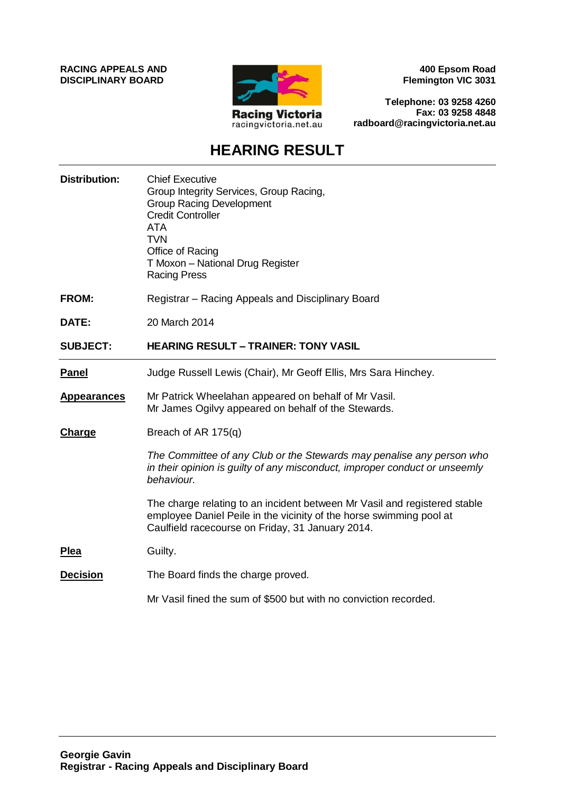**RACING APPEALS AND DISCIPLINARY BOARD**



**400 Epsom Road Flemington VIC 3031**

**Telephone: 03 9258 4260 Fax: 03 9258 4848 radboard@racingvictoria.net.au**

## **HEARING RESULT**

| <b>Distribution:</b> | <b>Chief Executive</b><br>Group Integrity Services, Group Racing,<br><b>Group Racing Development</b><br><b>Credit Controller</b><br><b>ATA</b><br><b>TVN</b><br>Office of Racing<br>T Moxon - National Drug Register<br><b>Racing Press</b> |
|----------------------|---------------------------------------------------------------------------------------------------------------------------------------------------------------------------------------------------------------------------------------------|
| <b>FROM:</b>         | Registrar – Racing Appeals and Disciplinary Board                                                                                                                                                                                           |
| DATE:                | 20 March 2014                                                                                                                                                                                                                               |
| <b>SUBJECT:</b>      | <b>HEARING RESULT - TRAINER: TONY VASIL</b>                                                                                                                                                                                                 |
| <b>Panel</b>         | Judge Russell Lewis (Chair), Mr Geoff Ellis, Mrs Sara Hinchey.                                                                                                                                                                              |
| <b>Appearances</b>   | Mr Patrick Wheelahan appeared on behalf of Mr Vasil.<br>Mr James Ogilvy appeared on behalf of the Stewards.                                                                                                                                 |
| <b>Charge</b>        | Breach of AR 175(q)                                                                                                                                                                                                                         |
|                      | The Committee of any Club or the Stewards may penalise any person who<br>in their opinion is guilty of any misconduct, improper conduct or unseemly<br>behaviour.                                                                           |
|                      | The charge relating to an incident between Mr Vasil and registered stable<br>employee Daniel Peile in the vicinity of the horse swimming pool at<br>Caulfield racecourse on Friday, 31 January 2014.                                        |
| <b>Plea</b>          | Guilty.                                                                                                                                                                                                                                     |
| <b>Decision</b>      | The Board finds the charge proved.                                                                                                                                                                                                          |
|                      | Mr Vasil fined the sum of \$500 but with no conviction recorded.                                                                                                                                                                            |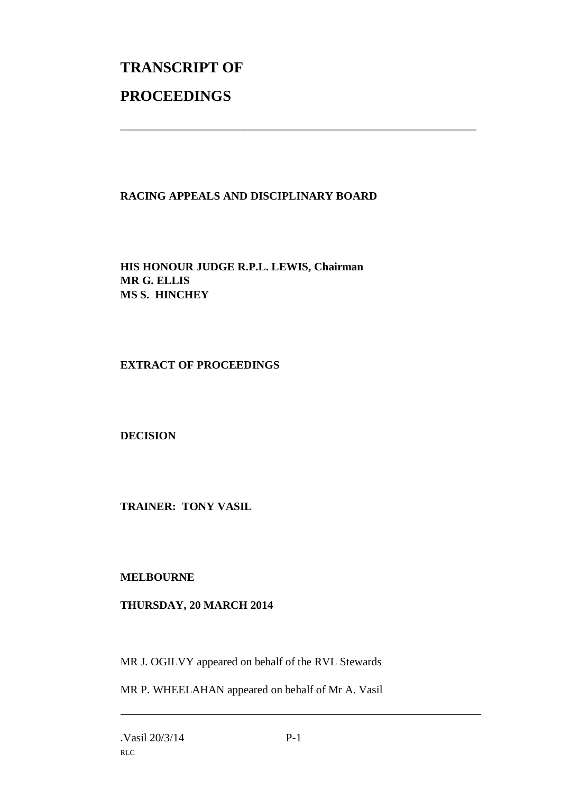## **TRANSCRIPT OF PROCEEDINGS**

## **RACING APPEALS AND DISCIPLINARY BOARD**

\_\_\_\_\_\_\_\_\_\_\_\_\_\_\_\_\_\_\_\_\_\_\_\_\_\_\_\_\_\_\_\_\_\_\_\_\_\_\_\_\_\_\_\_\_\_\_\_\_\_\_\_\_\_\_\_\_\_\_\_\_\_\_

**HIS HONOUR JUDGE R.P.L. LEWIS, Chairman MR G. ELLIS MS S. HINCHEY**

**EXTRACT OF PROCEEDINGS**

**DECISION**

**TRAINER: TONY VASIL**

**MELBOURNE**

## **THURSDAY, 20 MARCH 2014**

MR J. OGILVY appeared on behalf of the RVL Stewards

MR P. WHEELAHAN appeared on behalf of Mr A. Vasil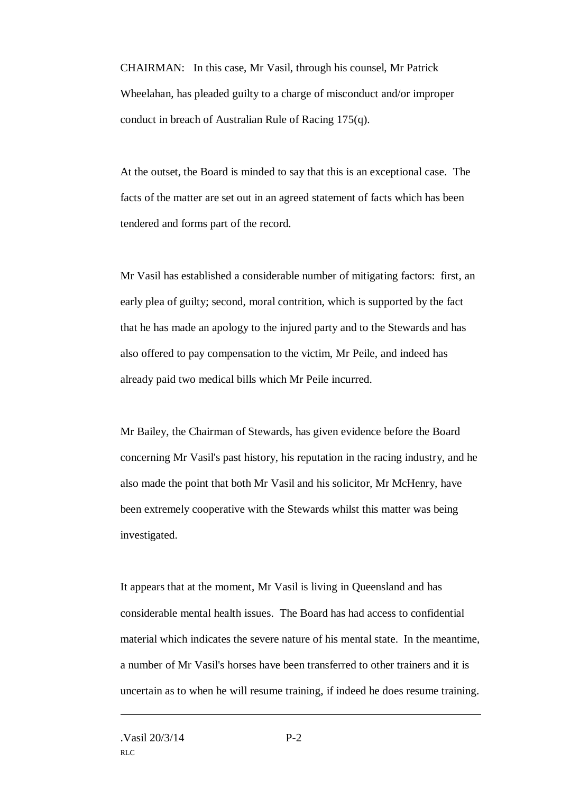CHAIRMAN: In this case, Mr Vasil, through his counsel, Mr Patrick Wheelahan, has pleaded guilty to a charge of misconduct and/or improper conduct in breach of Australian Rule of Racing 175(q).

At the outset, the Board is minded to say that this is an exceptional case. The facts of the matter are set out in an agreed statement of facts which has been tendered and forms part of the record.

Mr Vasil has established a considerable number of mitigating factors: first, an early plea of guilty; second, moral contrition, which is supported by the fact that he has made an apology to the injured party and to the Stewards and has also offered to pay compensation to the victim, Mr Peile, and indeed has already paid two medical bills which Mr Peile incurred.

Mr Bailey, the Chairman of Stewards, has given evidence before the Board concerning Mr Vasil's past history, his reputation in the racing industry, and he also made the point that both Mr Vasil and his solicitor, Mr McHenry, have been extremely cooperative with the Stewards whilst this matter was being investigated.

It appears that at the moment, Mr Vasil is living in Queensland and has considerable mental health issues. The Board has had access to confidential material which indicates the severe nature of his mental state. In the meantime, a number of Mr Vasil's horses have been transferred to other trainers and it is uncertain as to when he will resume training, if indeed he does resume training.